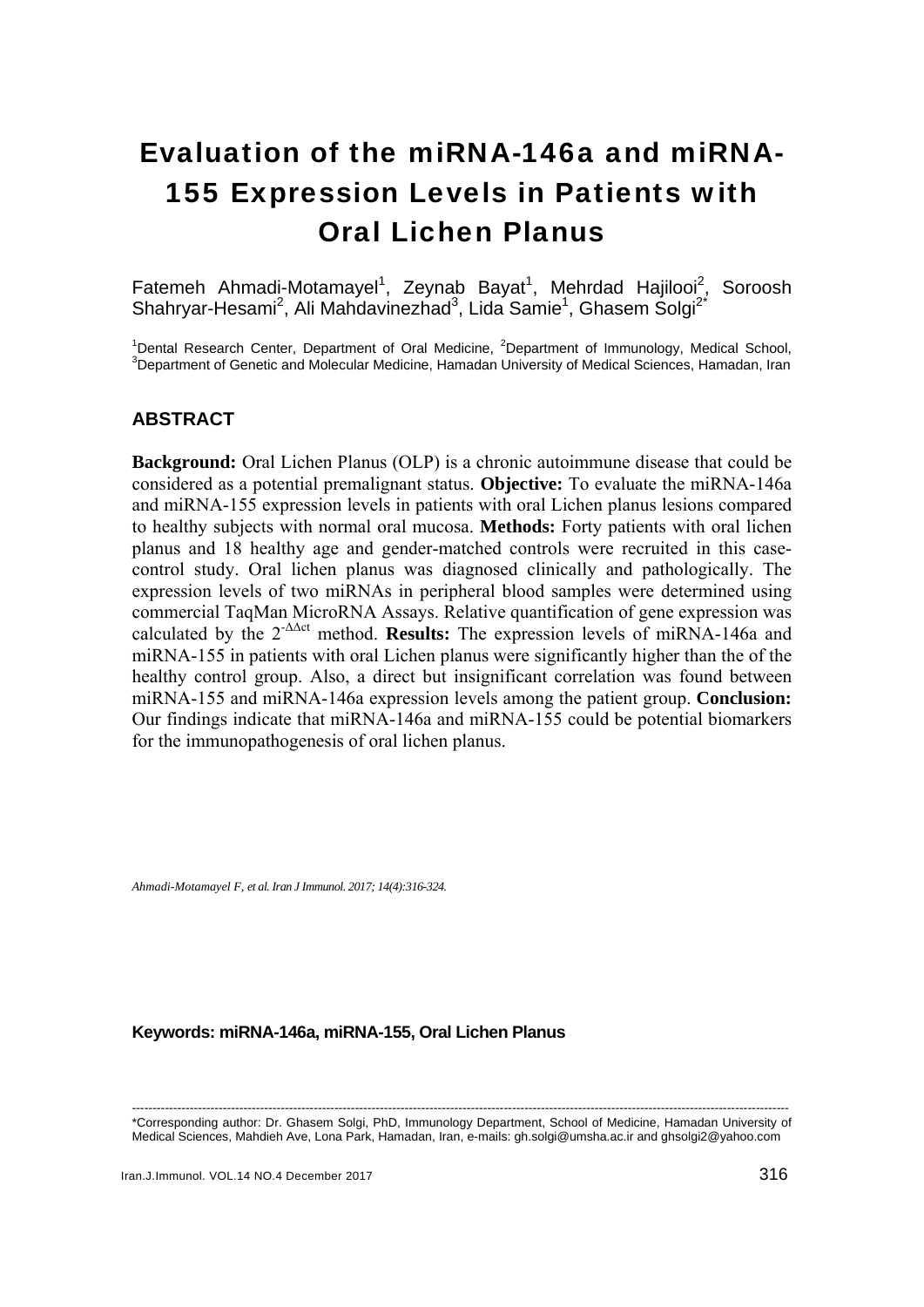# Evaluation of the miRNA-146a and miRNA-155 Expression Levels in Patients with Oral Lichen Planus

Fatemeh Ahmadi-Motamayel<sup>1</sup>, Zeynab Bayat<sup>1</sup>, Mehrdad Hajilooi<sup>2</sup>, Soroosh Shahryar-Hesami<sup>2</sup>, Ali Mahdavinezhad<sup>3</sup>, Lida Samie<sup>1</sup>, Ghasem Solgi<sup>2\*</sup>

<sup>1</sup> Dental Research Center, Department of Oral Medicine, <sup>2</sup> Department of Immunology, Medical School, 3<br><sup>3</sup> Department of Censtia and Malgoular Medicine, Hamadan University of Medical Sciences, Hamadan Iran  $3$ Department of Genetic and Molecular Medicine, Hamadan University of Medical Sciences, Hamadan, Iran

# **ABSTRACT**

**Background:** Oral Lichen Planus (OLP) is a chronic autoimmune disease that could be considered as a potential premalignant status. **Objective:** To evaluate the miRNA-146a and miRNA-155 expression levels in patients with oral Lichen planus lesions compared to healthy subjects with normal oral mucosa. **Methods:** Forty patients with oral lichen planus and 18 healthy age and gender-matched controls were recruited in this casecontrol study. Oral lichen planus was diagnosed clinically and pathologically. The expression levels of two miRNAs in peripheral blood samples were determined using commercial TaqMan MicroRNA Assays. Relative quantification of gene expression was calculated by the  $2^{-\Delta\Delta ct}$  method. **Results:** The expression levels of miRNA-146a and miRNA-155 in patients with oral Lichen planus were significantly higher than the of the healthy control group. Also, a direct but insignificant correlation was found between miRNA-155 and miRNA-146a expression levels among the patient group. **Conclusion:** Our findings indicate that miRNA-146a and miRNA-155 could be potential biomarkers for the immunopathogenesis of oral lichen planus.

*Ahmadi-Motamayel F, et al. Iran J Immunol. 2017; 14(4):316-324.* 

# **Keywords: miRNA-146a, miRNA-155, Oral Lichen Planus**

<sup>---------------------------------------------------------------------------------------------------------------------------------------------------------------</sup>  \*Corresponding author: Dr. Ghasem Solgi, PhD, Immunology Department, School of Medicine, Hamadan University of Medical Sciences, Mahdieh Ave, Lona Park, Hamadan, Iran, e-mails: gh.solgi@umsha.ac.ir and ghsolgi2@yahoo.com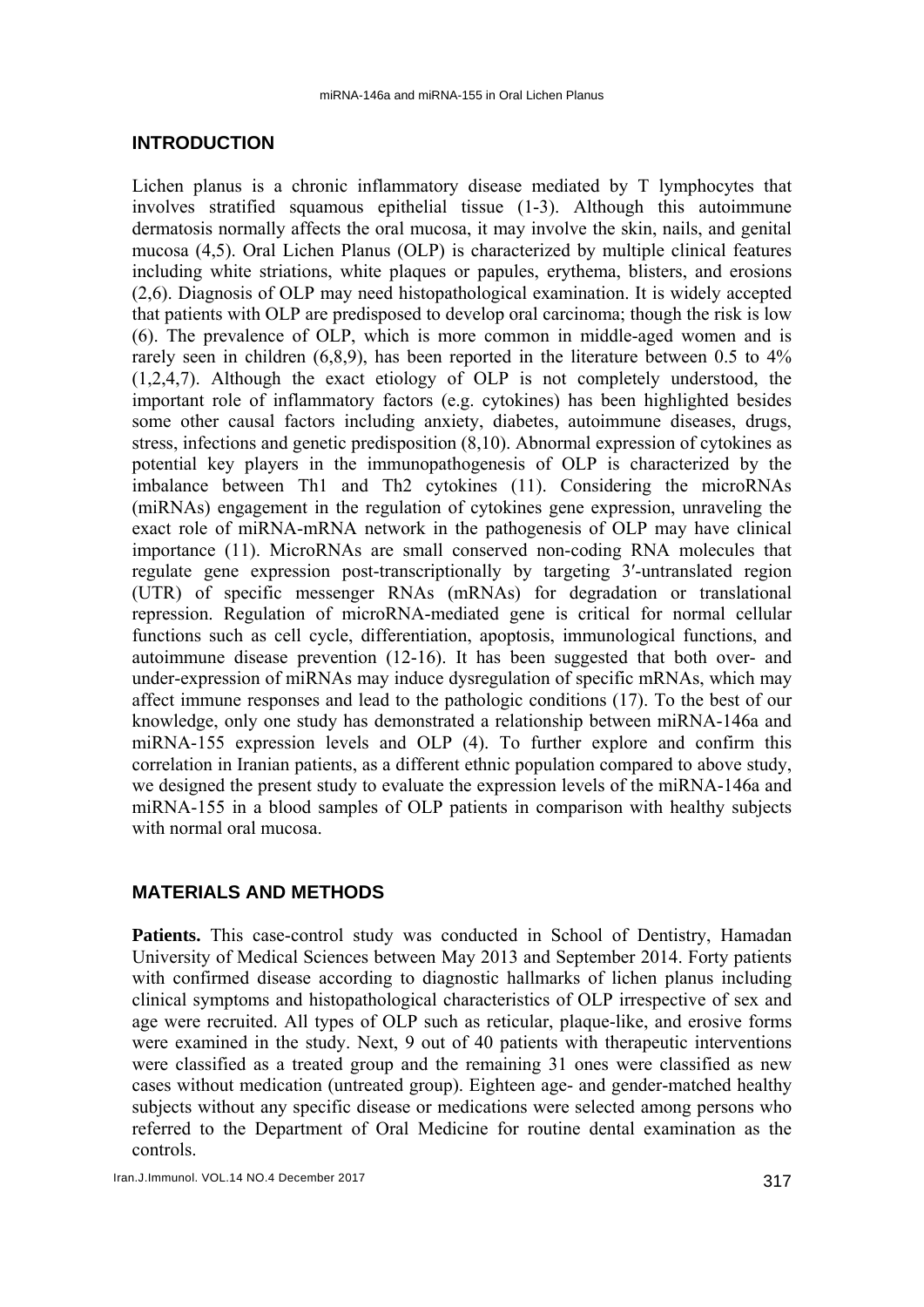# **INTRODUCTION**

Lichen planus is a chronic inflammatory disease mediated by T lymphocytes that involves stratified squamous epithelial tissue (1-3). Although this autoimmune dermatosis normally affects the oral mucosa, it may involve the skin, nails, and genital mucosa (4,5). Oral Lichen Planus (OLP) is characterized by multiple clinical features including white striations, white plaques or papules, erythema, blisters, and erosions (2,6). Diagnosis of OLP may need histopathological examination. It is widely accepted that patients with OLP are predisposed to develop oral carcinoma; though the risk is low (6). The prevalence of OLP, which is more common in middle-aged women and is rarely seen in children  $(6,8,9)$ , has been reported in the literature between 0.5 to 4% (1,2,4,7). Although the exact etiology of OLP is not completely understood, the important role of inflammatory factors (e.g. cytokines) has been highlighted besides some other causal factors including anxiety, diabetes, autoimmune diseases, drugs, stress, infections and genetic predisposition (8,10). Abnormal expression of cytokines as potential key players in the immunopathogenesis of OLP is characterized by the imbalance between Th1 and Th2 cytokines (11). Considering the microRNAs (miRNAs) engagement in the regulation of cytokines gene expression, unraveling the exact role of miRNA-mRNA network in the pathogenesis of OLP may have clinical importance (11). MicroRNAs are small conserved non-coding RNA molecules that regulate gene expression post-transcriptionally by targeting 3′-untranslated region (UTR) of specific messenger RNAs (mRNAs) for degradation or translational repression. Regulation of microRNA-mediated gene is critical for normal cellular functions such as cell cycle, differentiation, apoptosis, immunological functions, and autoimmune disease prevention (12-16). It has been suggested that both over- and under-expression of miRNAs may induce dysregulation of specific mRNAs, which may affect immune responses and lead to the pathologic conditions (17). To the best of our knowledge, only one study has demonstrated a relationship between miRNA-146a and miRNA-155 expression levels and OLP (4). To further explore and confirm this correlation in Iranian patients, as a different ethnic population compared to above study, we designed the present study to evaluate the expression levels of the miRNA-146a and miRNA-155 in a blood samples of OLP patients in comparison with healthy subjects with normal oral mucosa

# **MATERIALS AND METHODS**

**Patients.** This case-control study was conducted in School of Dentistry, Hamadan University of Medical Sciences between May 2013 and September 2014. Forty patients with confirmed disease according to diagnostic hallmarks of lichen planus including clinical symptoms and histopathological characteristics of OLP irrespective of sex and age were recruited. All types of OLP such as reticular, plaque-like, and erosive forms were examined in the study. Next, 9 out of 40 patients with therapeutic interventions were classified as a treated group and the remaining 31 ones were classified as new cases without medication (untreated group). Eighteen age- and gender-matched healthy subjects without any specific disease or medications were selected among persons who referred to the Department of Oral Medicine for routine dental examination as the controls.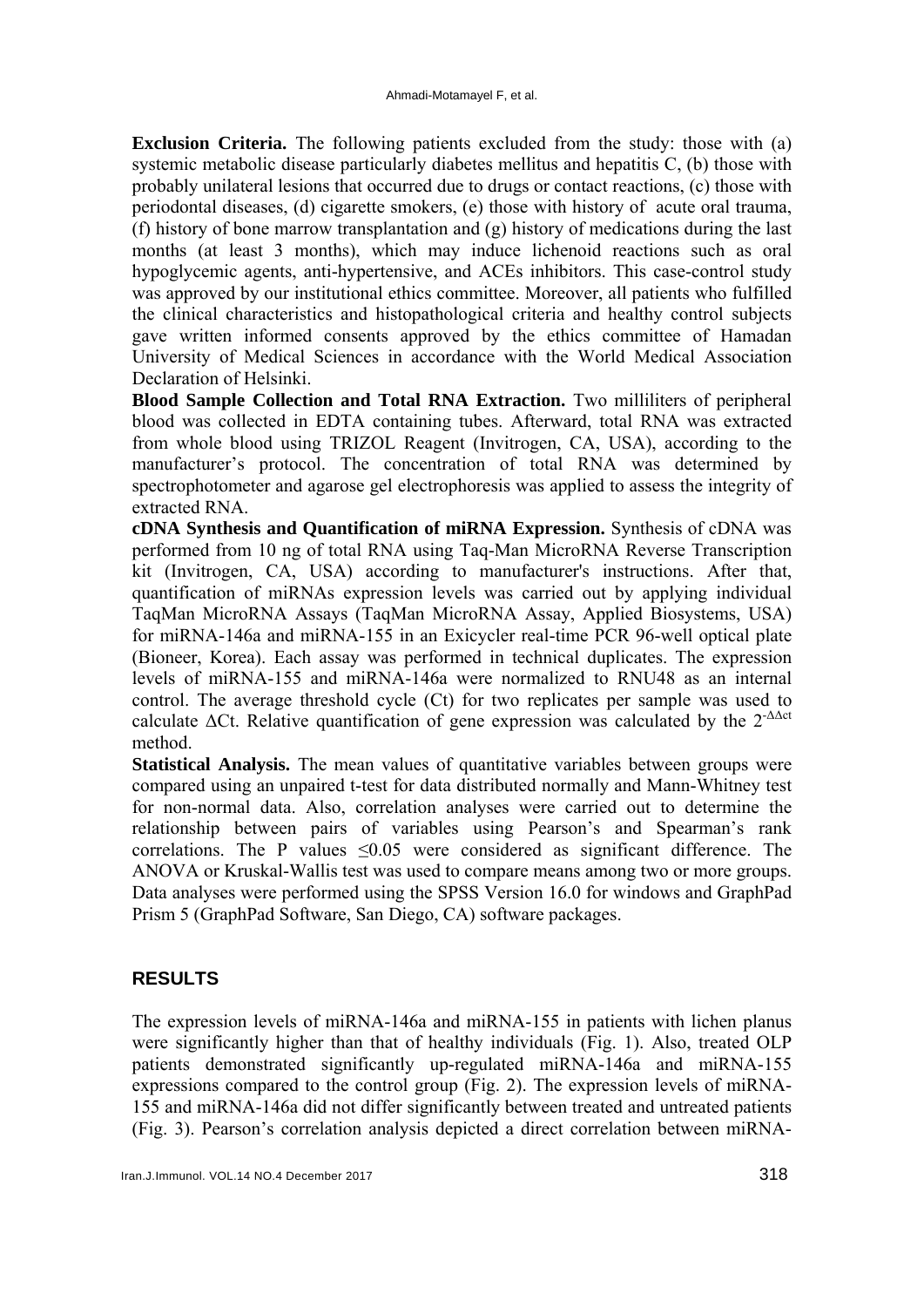**Exclusion Criteria.** The following patients excluded from the study: those with (a) systemic metabolic disease particularly diabetes mellitus and hepatitis C, (b) those with probably unilateral lesions that occurred due to drugs or contact reactions, (c) those with periodontal diseases, (d) cigarette smokers, (e) those with history of acute oral trauma, (f) history of bone marrow transplantation and (g) history of medications during the last months (at least 3 months), which may induce lichenoid reactions such as oral hypoglycemic agents, anti-hypertensive, and ACEs inhibitors. This case-control study was approved by our institutional ethics committee. Moreover, all patients who fulfilled the clinical characteristics and histopathological criteria and healthy control subjects gave written informed consents approved by the ethics committee of Hamadan University of Medical Sciences in accordance with the World Medical Association Declaration of Helsinki.

**Blood Sample Collection and Total RNA Extraction.** Two milliliters of peripheral blood was collected in EDTA containing tubes. Afterward, total RNA was extracted from whole blood using TRIZOL Reagent (Invitrogen, CA, USA), according to the manufacturer's protocol. The concentration of total RNA was determined by spectrophotometer and agarose gel electrophoresis was applied to assess the integrity of extracted RNA.

**cDNA Synthesis and Quantification of miRNA Expression.** Synthesis of cDNA was performed from 10 ng of total RNA using Taq-Man MicroRNA Reverse Transcription kit (Invitrogen, CA, USA) according to manufacturer's instructions. After that, quantification of miRNAs expression levels was carried out by applying individual TaqMan MicroRNA Assays (TaqMan MicroRNA Assay, Applied Biosystems, USA) for miRNA-146a and miRNA-155 in an Exicycler real-time PCR 96-well optical plate (Bioneer, Korea). Each assay was performed in technical duplicates. The expression levels of miRNA-155 and miRNA-146a were normalized to RNU48 as an internal control. The average threshold cycle (Ct) for two replicates per sample was used to calculate  $\Delta$ Ct. Relative quantification of gene expression was calculated by the  $2^{-\Delta \Delta ct}$ method.

**Statistical Analysis.** The mean values of quantitative variables between groups were compared using an unpaired t-test for data distributed normally and Mann-Whitney test for non-normal data. Also, correlation analyses were carried out to determine the relationship between pairs of variables using Pearson's and Spearman's rank correlations. The P values  $\leq 0.05$  were considered as significant difference. The ANOVA or Kruskal-Wallis test was used to compare means among two or more groups. Data analyses were performed using the SPSS Version 16.0 for windows and GraphPad Prism 5 (GraphPad Software, San Diego, CA) software packages.

# **RESULTS**

The expression levels of miRNA-146a and miRNA-155 in patients with lichen planus were significantly higher than that of healthy individuals (Fig. 1). Also, treated OLP patients demonstrated significantly up-regulated miRNA-146a and miRNA-155 expressions compared to the control group (Fig. 2). The expression levels of miRNA-155 and miRNA-146a did not differ significantly between treated and untreated patients (Fig. 3). Pearson's correlation analysis depicted a direct correlation between miRNA-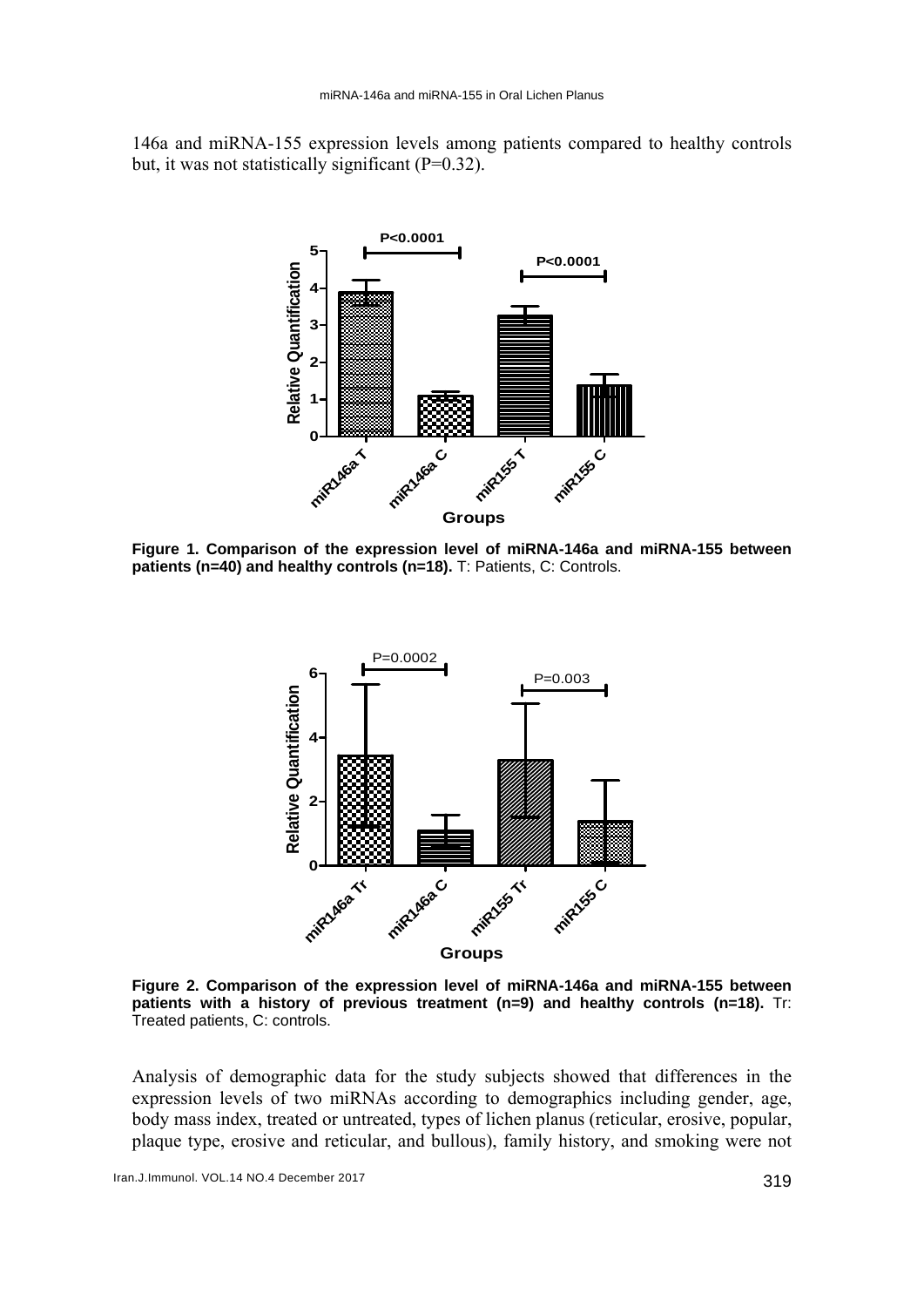146a and miRNA-155 expression levels among patients compared to healthy controls but, it was not statistically significant  $(P=0.32)$ .



**Figure 1. Comparison of the expression level of miRNA-146a and miRNA-155 between patients (n=40) and healthy controls (n=18).** T: Patients, C: Controls.



**Figure 2. Comparison of the expression level of miRNA-146a and miRNA-155 between patients with a history of previous treatment (n=9) and healthy controls (n=18).** Tr: Treated patients, C: controls.

Analysis of demographic data for the study subjects showed that differences in the expression levels of two miRNAs according to demographics including gender, age, body mass index, treated or untreated, types of lichen planus (reticular, erosive, popular, plaque type, erosive and reticular, and bullous), family history, and smoking were not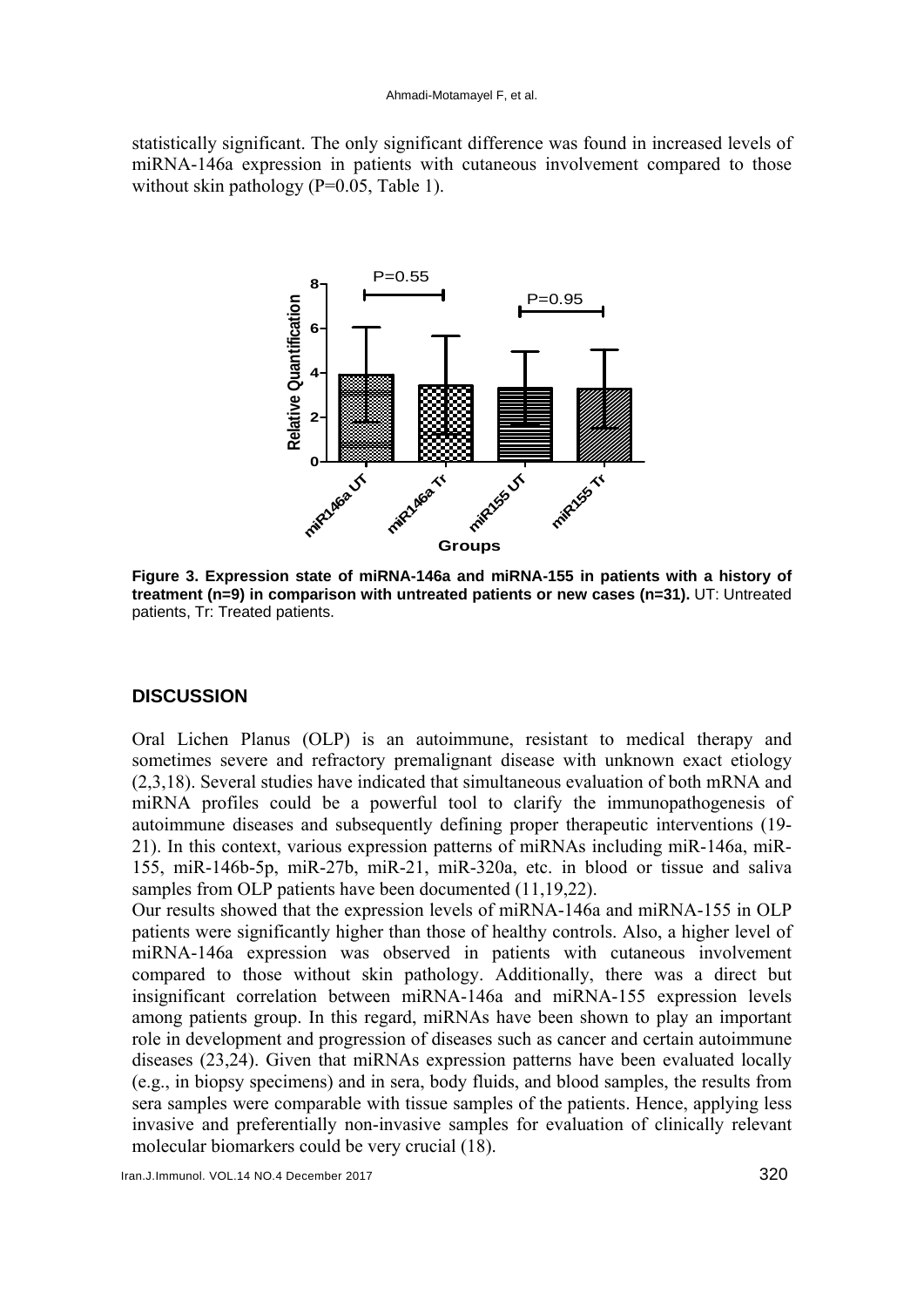#### Ahmadi-Motamayel F, et al.

statistically significant. The only significant difference was found in increased levels of miRNA-146a expression in patients with cutaneous involvement compared to those without skin pathology  $(P=0.05, Table 1)$ .



**Figure 3. Expression state of miRNA-146a and miRNA-155 in patients with a history of treatment (n=9) in comparison with untreated patients or new cases (n=31).** UT: Untreated patients, Tr: Treated patients.

# **DISCUSSION**

Oral Lichen Planus (OLP) is an autoimmune, resistant to medical therapy and sometimes severe and refractory premalignant disease with unknown exact etiology (2,3,18). Several studies have indicated that simultaneous evaluation of both mRNA and miRNA profiles could be a powerful tool to clarify the immunopathogenesis of autoimmune diseases and subsequently defining proper therapeutic interventions (19- 21). In this context, various expression patterns of miRNAs including miR-146a, miR-155, miR-146b-5p, miR-27b, miR-21, miR-320a, etc. in blood or tissue and saliva samples from OLP patients have been documented  $(11,19,22)$ .

Our results showed that the expression levels of miRNA-146a and miRNA-155 in OLP patients were significantly higher than those of healthy controls. Also, a higher level of miRNA-146a expression was observed in patients with cutaneous involvement compared to those without skin pathology. Additionally, there was a direct but insignificant correlation between miRNA-146a and miRNA-155 expression levels among patients group. In this regard, miRNAs have been shown to play an important role in development and progression of diseases such as cancer and certain autoimmune diseases (23,24). Given that miRNAs expression patterns have been evaluated locally (e.g., in biopsy specimens) and in sera, body fluids, and blood samples, the results from sera samples were comparable with tissue samples of the patients. Hence, applying less invasive and preferentially non-invasive samples for evaluation of clinically relevant molecular biomarkers could be very crucial (18).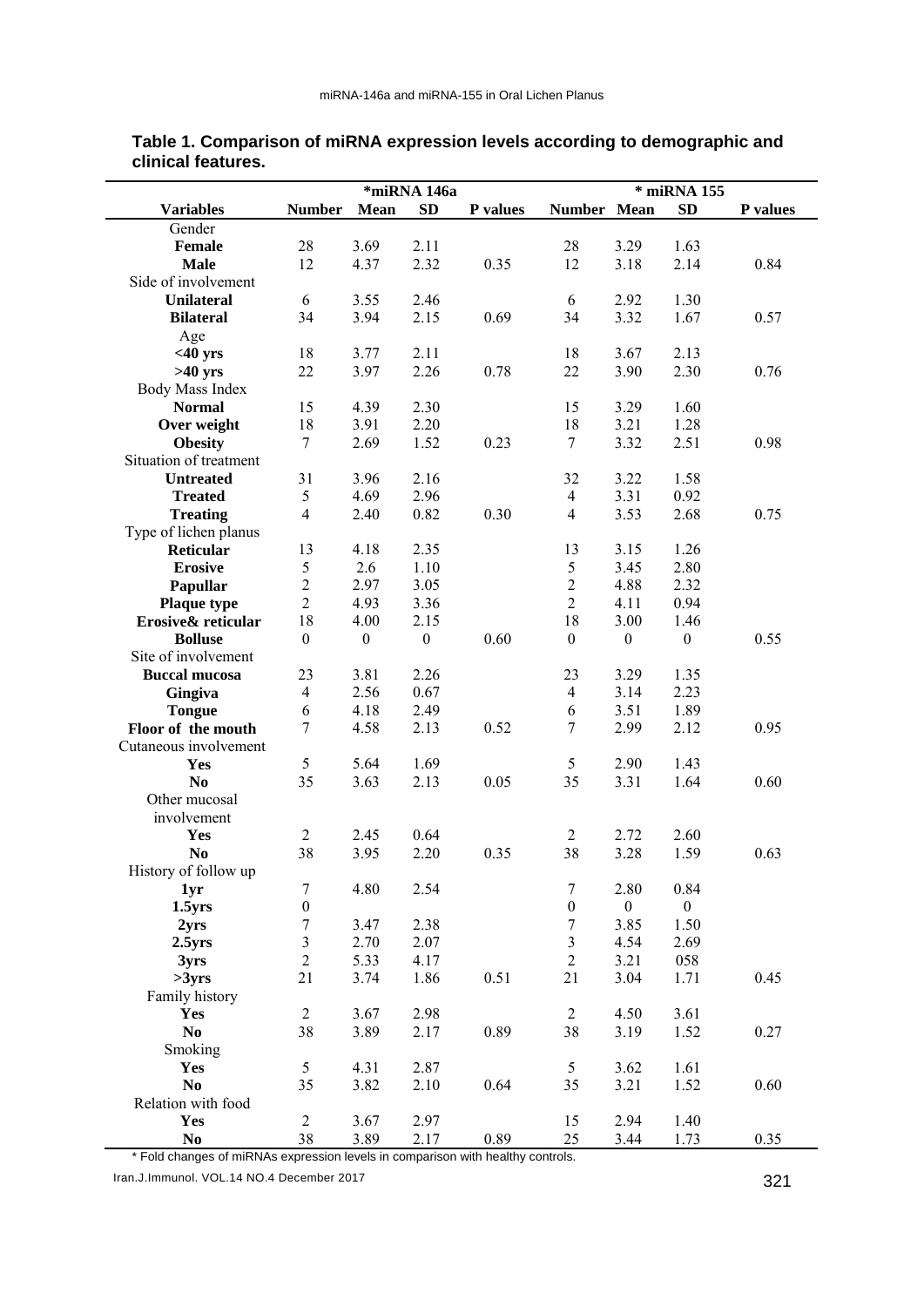|                        | *miRNA 146a      |                  |                  |          | * miRNA 155      |                  |                  |          |
|------------------------|------------------|------------------|------------------|----------|------------------|------------------|------------------|----------|
| <b>Variables</b>       | <b>Number</b>    | Mean             | <b>SD</b>        | P values | Number Mean      |                  | <b>SD</b>        | P values |
| Gender                 |                  |                  |                  |          |                  |                  |                  |          |
| Female                 | 28               | 3.69             | 2.11             |          | 28               | 3.29             | 1.63             |          |
| <b>Male</b>            | 12               | 4.37             | 2.32             | 0.35     | 12               | 3.18             | 2.14             | 0.84     |
| Side of involvement    |                  |                  |                  |          |                  |                  |                  |          |
|                        |                  |                  |                  |          |                  |                  |                  |          |
| <b>Unilateral</b>      | 6                | 3.55             | 2.46             |          | 6                | 2.92             | 1.30             |          |
| <b>Bilateral</b>       | 34               | 3.94             | 2.15             | 0.69     | 34               | 3.32             | 1.67             | 0.57     |
| Age                    |                  |                  |                  |          |                  |                  |                  |          |
| $<$ 40 yrs             | 18               | 3.77             | 2.11             |          | 18               | 3.67             | 2.13             |          |
| $>40$ yrs              | 22               | 3.97             | 2.26             | 0.78     | 22               | 3.90             | 2.30             | 0.76     |
| Body Mass Index        |                  |                  |                  |          |                  |                  |                  |          |
| <b>Normal</b>          | 15               | 4.39             | 2.30             |          | 15               | 3.29             | 1.60             |          |
| Over weight            | 18               | 3.91             | 2.20             |          | 18               | 3.21             | 1.28             |          |
| <b>Obesity</b>         | $\tau$           | 2.69             | 1.52             | 0.23     | $\overline{7}$   | 3.32             | 2.51             | 0.98     |
| Situation of treatment |                  |                  |                  |          |                  |                  |                  |          |
| <b>Untreated</b>       | 31               | 3.96             | 2.16             |          | 32               | 3.22             | 1.58             |          |
|                        |                  |                  |                  |          |                  |                  |                  |          |
| <b>Treated</b>         | 5                | 4.69             | 2.96             |          | $\overline{4}$   | 3.31             | 0.92             |          |
| <b>Treating</b>        | 4                | 2.40             | 0.82             | 0.30     | $\overline{4}$   | 3.53             | 2.68             | 0.75     |
| Type of lichen planus  |                  |                  |                  |          |                  |                  |                  |          |
| <b>Reticular</b>       | 13               | 4.18             | 2.35             |          | 13               | 3.15             | 1.26             |          |
| <b>Erosive</b>         | 5                | 2.6              | 1.10             |          | 5                | 3.45             | 2.80             |          |
| Papullar               | $\sqrt{2}$       | 2.97             | 3.05             |          | $\overline{2}$   | 4.88             | 2.32             |          |
| <b>Plaque type</b>     | $\overline{2}$   | 4.93             | 3.36             |          | $\overline{2}$   | 4.11             | 0.94             |          |
| Erosive& reticular     | 18               | 4.00             | 2.15             |          | 18               | 3.00             | 1.46             |          |
| <b>Bolluse</b>         | $\boldsymbol{0}$ | $\boldsymbol{0}$ | $\boldsymbol{0}$ | 0.60     | $\boldsymbol{0}$ | $\boldsymbol{0}$ | $\boldsymbol{0}$ | 0.55     |
| Site of involvement    |                  |                  |                  |          |                  |                  |                  |          |
| <b>Buccal mucosa</b>   |                  |                  |                  |          |                  |                  | 1.35             |          |
|                        | 23               | 3.81             | 2.26             |          | 23               | 3.29             |                  |          |
| Gingiva                | $\overline{4}$   | 2.56             | 0.67             |          | $\overline{4}$   | 3.14             | 2.23             |          |
| <b>Tongue</b>          | 6                | 4.18             | 2.49             |          | 6                | 3.51             | 1.89             |          |
| Floor of the mouth     | $\overline{7}$   | 4.58             | 2.13             | 0.52     | $\overline{7}$   | 2.99             | 2.12             | 0.95     |
| Cutaneous involvement  |                  |                  |                  |          |                  |                  |                  |          |
| Yes                    | 5                | 5.64             | 1.69             |          | 5                | 2.90             | 1.43             |          |
| N <sub>0</sub>         | 35               | 3.63             | 2.13             | 0.05     | 35               | 3.31             | 1.64             | 0.60     |
| Other mucosal          |                  |                  |                  |          |                  |                  |                  |          |
| involvement            |                  |                  |                  |          |                  |                  |                  |          |
| Yes                    | $\overline{2}$   | 2.45             | 0.64             |          | $\overline{c}$   | 2.72             | 2.60             |          |
| N <sub>0</sub>         | 38               | 3.95             | 2.20             | 0.35     | 38               | 3.28             | 1.59             | 0.63     |
| History of follow up   |                  |                  |                  |          |                  |                  |                  |          |
|                        |                  |                  |                  |          | $\boldsymbol{7}$ |                  |                  |          |
| 1yr                    | $\overline{7}$   | 4.80             | 2.54             |          |                  | 2.80             | 0.84             |          |
| 1.5 <sub>yrs</sub>     | $\boldsymbol{0}$ |                  |                  |          | $\boldsymbol{0}$ | $\overline{0}$   | $\boldsymbol{0}$ |          |
| 2 <sub>yrs</sub>       | $\boldsymbol{7}$ | 3.47             | 2.38             |          | 7                | 3.85             | 1.50             |          |
| 2.5 <sub>yrs</sub>     | $\mathfrak{Z}$   | 2.70             | 2.07             |          | $\mathfrak{Z}$   | 4.54             | 2.69             |          |
| 3yrs                   | $\sqrt{2}$       | 5.33             | 4.17             |          | $\mathbf{2}$     | 3.21             | 058              |          |
| >3yrs                  | 21               | 3.74             | 1.86             | 0.51     | 21               | 3.04             | 1.71             | 0.45     |
| Family history         |                  |                  |                  |          |                  |                  |                  |          |
| <b>Yes</b>             | $\overline{2}$   | 3.67             | 2.98             |          | $\mathfrak{2}$   | 4.50             | 3.61             |          |
| $\bf No$               | 38               | 3.89             | 2.17             | 0.89     | 38               | 3.19             | 1.52             | 0.27     |
| Smoking                |                  |                  |                  |          |                  |                  |                  |          |
| <b>Yes</b>             | 5                | 4.31             | 2.87             |          | 5                | 3.62             | 1.61             |          |
| N <sub>0</sub>         | 35               | 3.82             | 2.10             | 0.64     | 35               | 3.21             | 1.52             | 0.60     |
|                        |                  |                  |                  |          |                  |                  |                  |          |
| Relation with food     |                  |                  |                  |          |                  |                  |                  |          |
| Yes                    | $\overline{2}$   | 3.67             | 2.97             |          | 15               | 2.94             | 1.40             |          |
| N <sub>0</sub>         | 38               | 3.89             | 2.17             | 0.89     | 25               | 3.44             | 1.73             | 0.35     |

### **Table 1. Comparison of miRNA expression levels according to demographic and clinical features.**

\* Fold changes of miRNAs expression levels in comparison with healthy controls.

Iran.J.Immunol. VOL.14 NO.4 December 2017 321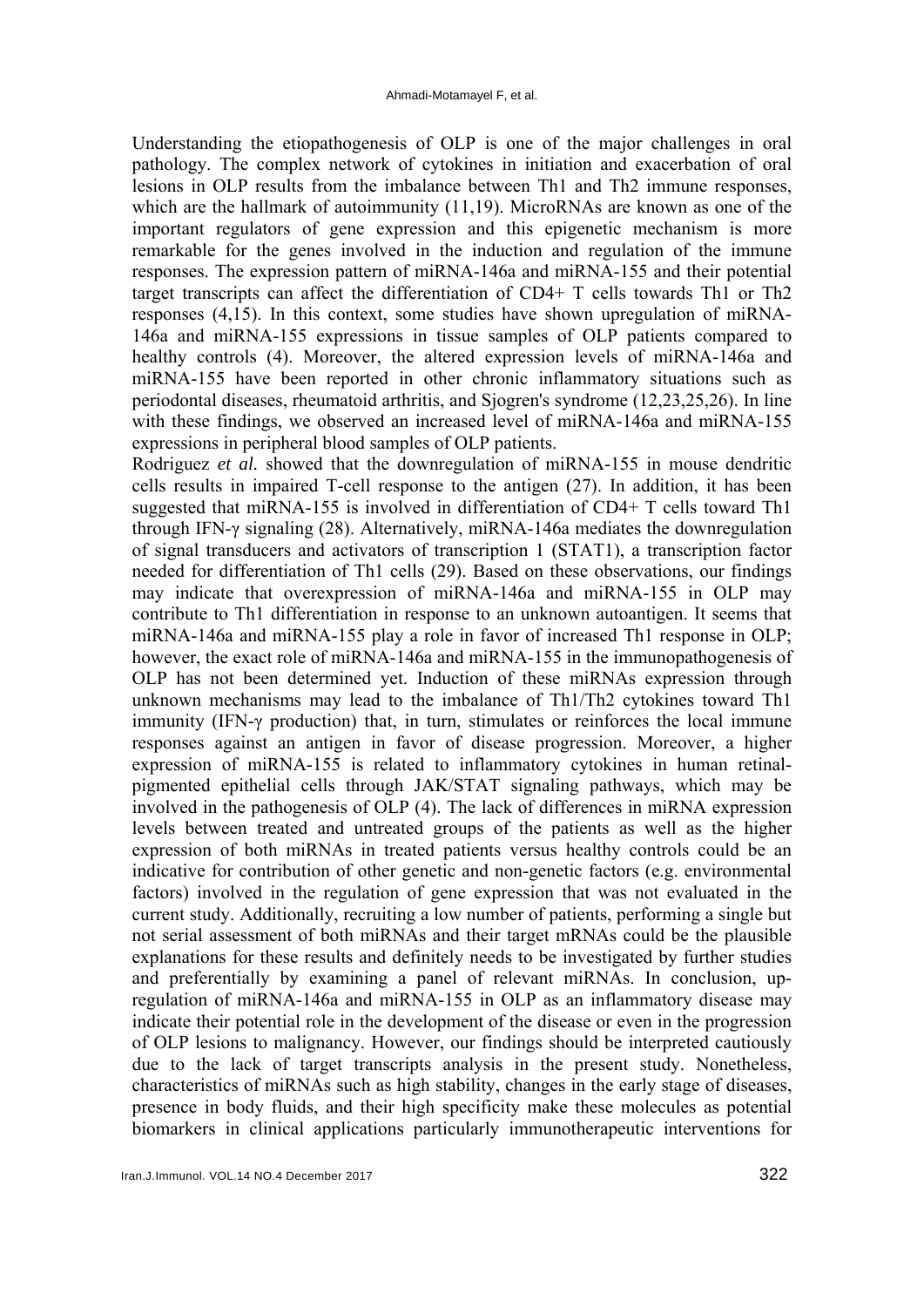Understanding the etiopathogenesis of OLP is one of the major challenges in oral pathology. The complex network of cytokines in initiation and exacerbation of oral lesions in OLP results from the imbalance between Th1 and Th2 immune responses, which are the hallmark of autoimmunity (11,19). MicroRNAs are known as one of the important regulators of gene expression and this epigenetic mechanism is more remarkable for the genes involved in the induction and regulation of the immune responses. The expression pattern of miRNA-146a and miRNA-155 and their potential target transcripts can affect the differentiation of CD4+ T cells towards Th1 or Th2 responses (4,15). In this context, some studies have shown upregulation of miRNA-146a and miRNA-155 expressions in tissue samples of OLP patients compared to healthy controls (4). Moreover, the altered expression levels of miRNA-146a and miRNA-155 have been reported in other chronic inflammatory situations such as periodontal diseases, rheumatoid arthritis, and Sjogren's syndrome (12,23,25,26). In line with these findings, we observed an increased level of miRNA-146a and miRNA-155 expressions in peripheral blood samples of OLP patients.

Rodriguez *et al.* showed that the downregulation of miRNA-155 in mouse dendritic cells results in impaired T-cell response to the antigen (27). In addition, it has been suggested that miRNA-155 is involved in differentiation of CD4+ T cells toward Th1 through IFN-γ signaling (28). Alternatively, miRNA-146a mediates the downregulation of signal transducers and activators of transcription 1 (STAT1), a transcription factor needed for differentiation of Th1 cells (29). Based on these observations, our findings may indicate that overexpression of miRNA-146a and miRNA-155 in OLP may contribute to Th1 differentiation in response to an unknown autoantigen. It seems that miRNA-146a and miRNA-155 play a role in favor of increased Th1 response in OLP; however, the exact role of miRNA-146a and miRNA-155 in the immunopathogenesis of OLP has not been determined yet. Induction of these miRNAs expression through unknown mechanisms may lead to the imbalance of Th1/Th2 cytokines toward Th1 immunity (IFN-γ production) that, in turn, stimulates or reinforces the local immune responses against an antigen in favor of disease progression. Moreover, a higher expression of miRNA-155 is related to inflammatory cytokines in human retinalpigmented epithelial cells through JAK/STAT signaling pathways, which may be involved in the pathogenesis of OLP (4). The lack of differences in miRNA expression levels between treated and untreated groups of the patients as well as the higher expression of both miRNAs in treated patients versus healthy controls could be an indicative for contribution of other genetic and non-genetic factors (e.g. environmental factors) involved in the regulation of gene expression that was not evaluated in the current study. Additionally, recruiting a low number of patients, performing a single but not serial assessment of both miRNAs and their target mRNAs could be the plausible explanations for these results and definitely needs to be investigated by further studies and preferentially by examining a panel of relevant miRNAs. In conclusion, upregulation of miRNA-146a and miRNA-155 in OLP as an inflammatory disease may indicate their potential role in the development of the disease or even in the progression of OLP lesions to malignancy. However, our findings should be interpreted cautiously due to the lack of target transcripts analysis in the present study. Nonetheless, characteristics of miRNAs such as high stability, changes in the early stage of diseases, presence in body fluids, and their high specificity make these molecules as potential biomarkers in clinical applications particularly immunotherapeutic interventions for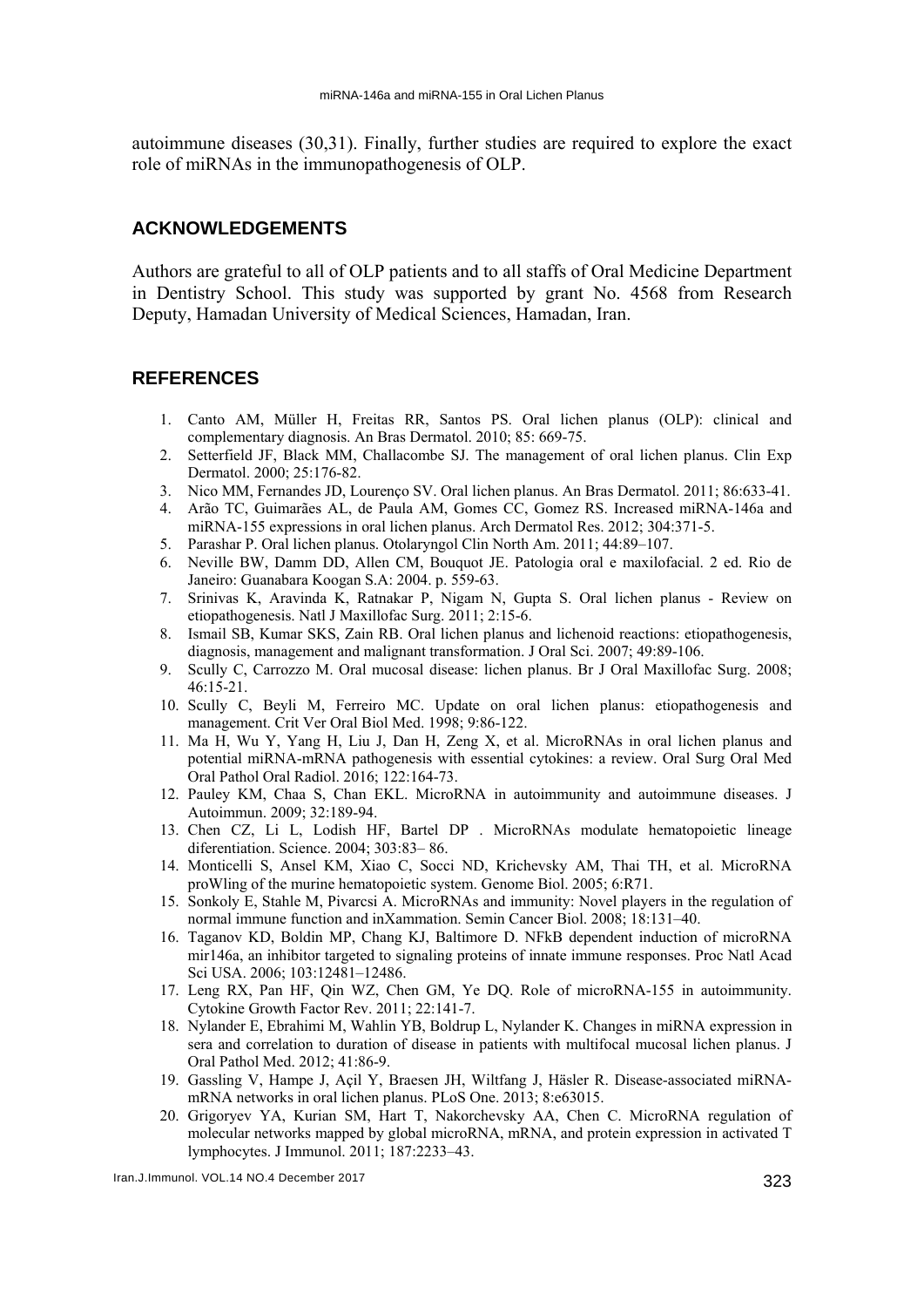autoimmune diseases (30,31). Finally, further studies are required to explore the exact role of miRNAs in the immunopathogenesis of OLP.

# **ACKNOWLEDGEMENTS**

Authors are grateful to all of OLP patients and to all staffs of Oral Medicine Department in Dentistry School. This study was supported by grant No. 4568 from Research Deputy, Hamadan University of Medical Sciences, Hamadan, Iran.

# **REFERENCES**

- 1. Canto AM, Müller H, Freitas RR, Santos PS. Oral lichen planus (OLP): clinical and complementary diagnosis. An Bras Dermatol. 2010; 85: 669-75.
- 2. Setterfield JF, Black MM, Challacombe SJ. The management of oral lichen planus. Clin Exp Dermatol. 2000; 25:176-82.
- 3. Nico MM, Fernandes JD, Lourenço SV. Oral lichen planus. An Bras Dermatol. 2011; 86:633-41.
- 4. Arão TC, Guimarães AL, de Paula AM, Gomes CC, Gomez RS. Increased miRNA-146a and miRNA-155 expressions in oral lichen planus. Arch Dermatol Res. 2012; 304:371-5.
- 5. Parashar P. Oral lichen planus. Otolaryngol Clin North Am. 2011; 44:89–107.
- 6. Neville BW, Damm DD, Allen CM, Bouquot JE. Patologia oral e maxilofacial. 2 ed. Rio de Janeiro: Guanabara Koogan S.A: 2004. p. 559-63.
- 7. Srinivas K, Aravinda K, Ratnakar P, Nigam N, Gupta S. Oral lichen planus Review on etiopathogenesis. Natl J Maxillofac Surg. 2011; 2:15-6.
- 8. Ismail SB, Kumar SKS, Zain RB. Oral lichen planus and lichenoid reactions: etiopathogenesis, diagnosis, management and malignant transformation. J Oral Sci. 2007; 49:89-106.
- 9. Scully C, Carrozzo M. Oral mucosal disease: lichen planus. Br J Oral Maxillofac Surg. 2008; 46:15-21.
- 10. Scully C, Beyli M, Ferreiro MC. Update on oral lichen planus: etiopathogenesis and management. Crit Ver Oral Biol Med. 1998; 9:86-122.
- 11. Ma H, Wu Y, Yang H, Liu J, Dan H, Zeng X, et al. MicroRNAs in oral lichen planus and potential miRNA-mRNA pathogenesis with essential cytokines: a review. Oral Surg Oral Med Oral Pathol Oral Radiol. 2016; 122:164-73.
- 12. Pauley KM, Chaa S, Chan EKL. MicroRNA in autoimmunity and autoimmune diseases. J Autoimmun. 2009; 32:189-94.
- 13. Chen CZ, Li L, Lodish HF, Bartel DP . MicroRNAs modulate hematopoietic lineage diferentiation. Science. 2004; 303:83– 86.
- 14. Monticelli S, Ansel KM, Xiao C, Socci ND, Krichevsky AM, Thai TH, et al. MicroRNA proWling of the murine hematopoietic system. Genome Biol. 2005; 6:R71.
- 15. Sonkoly E, Stahle M, Pivarcsi A. MicroRNAs and immunity: Novel players in the regulation of normal immune function and inXammation. Semin Cancer Biol. 2008; 18:131–40.
- 16. Taganov KD, Boldin MP, Chang KJ, Baltimore D. NFkB dependent induction of microRNA mir146a, an inhibitor targeted to signaling proteins of innate immune responses. Proc Natl Acad Sci USA. 2006; 103:12481–12486.
- 17. Leng RX, Pan HF, Qin WZ, Chen GM, Ye DQ. Role of microRNA-155 in autoimmunity. Cytokine Growth Factor Rev. 2011; 22:141-7.
- 18. Nylander E, Ebrahimi M, Wahlin YB, Boldrup L, Nylander K. Changes in miRNA expression in sera and correlation to duration of disease in patients with multifocal mucosal lichen planus. J Oral Pathol Med. 2012; 41:86-9.
- 19. Gassling V, Hampe J, Açil Y, Braesen JH, Wiltfang J, Häsler R. Disease-associated miRNAmRNA networks in oral lichen planus. PLoS One. 2013; 8:e63015.
- 20. Grigoryev YA, Kurian SM, Hart T, Nakorchevsky AA, Chen C. MicroRNA regulation of molecular networks mapped by global microRNA, mRNA, and protein expression in activated T lymphocytes. J Immunol. 2011; 187:2233–43.

Iran.J.Immunol. VOL.14 NO.4 December 2017 323